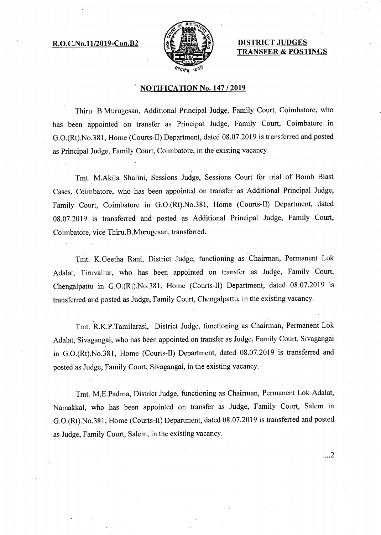## R.O.C.No.11/2019-Con.B2 【 】 【 】 】 】 DISTRICT JUDGES



TRANSFER & POSTINGS

## NOTIFICATION No. 147 / 2019

Thiru. B.Murugesan, Additional Principal Judge, Family Court, Coimbatore, who has been appointed on transfer as Principal Judge, Family Court, Coimbatore in G.0.(Rt).No.381, Home (Courts-II) Department, dated 08.07.2019 is transferred and posted as Principal Judge, Family Court, Coimbatore, in the existing vacancy.

Tmt. M.Akila Shalini, Sessions Judge, Sessions Court for trial of Bomb Blast Cases, Coimbatore, who has been appointed on transfer as Additional Principal Judge, Family Court, Coimbatore in G.0.(Rt).No.381, Home (Courts-II) Department, dated 08.07.2019 is transferred.and posted as Additional Principal Judge, Family Court, Coimbatore, vice Thiru.B.Murugesan, transferred.

Tmt. K.Geetha Rani, District Judge, functioning as Chairman, Permanent Lok Adalat, Tiruvallur, who has been appointed on transfer as Judge, Family Court, Chengalpattu in G.0.(Rt).No.381, Home (Courts-II) Department, dated 08.07.2019 is transferred and posted as Judge, Family Court, Chengalpattu, in the existing vacancy.

Tmt. R.K.P.Tamilarasi, District Judge, functioning as Chairman, Permanent Lok Adalat, Sivagangai, who has been appointed on transfer as Judge, Family Court, Sivagangai in G.0.(Rt).No.381, Home (Courts-II) Department, dated 08.07.2019 is transferred and posted as Judge, Family Court, Sivagangai, in the existing vacancy.

Tmt. M.E.Padma, District Judge, functioning as Chairman, Permanent Lok Adalat, Namakkal, who has been appointed on transfer as Judge, Family Court, Salem in G.0.(Rt).No.381, Home (Courts-II) Department, dated 08.07.2019 is transferred and posted as Judge, Family Court, Salem, in the existing vacancy.

 $\dots$  2